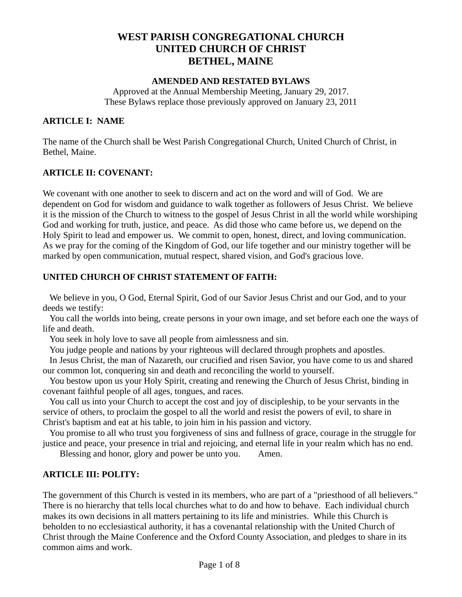# **WEST PARISH CONGREGATIONAL CHURCH UNITED CHURCH OF CHRIST BETHEL, MAINE**

#### **AMENDED AND RESTATED BYLAWS**

Approved at the Annual Membership Meeting, January 29, 2017. These Bylaws replace those previously approved on January 23, 2011

#### **ARTICLE I: NAME**

The name of the Church shall be West Parish Congregational Church, United Church of Christ, in Bethel, Maine.

#### **ARTICLE II: COVENANT:**

We covenant with one another to seek to discern and act on the word and will of God. We are dependent on God for wisdom and guidance to walk together as followers of Jesus Christ. We believe it is the mission of the Church to witness to the gospel of Jesus Christ in all the world while worshiping God and working for truth, justice, and peace. As did those who came before us, we depend on the Holy Spirit to lead and empower us. We commit to open, honest, direct, and loving communication. As we pray for the coming of the Kingdom of God, our life together and our ministry together will be marked by open communication, mutual respect, shared vision, and God's gracious love.

#### **UNITED CHURCH OF CHRIST STATEMENT OF FAITH:**

We believe in you, O God, Eternal Spirit, God of our Savior Jesus Christ and our God, and to your deeds we testify:

You call the worlds into being, create persons in your own image, and set before each one the ways of life and death.

You seek in holy love to save all people from aimlessness and sin.

You judge people and nations by your righteous will declared through prophets and apostles.

In Jesus Christ, the man of Nazareth, our crucified and risen Savior, you have come to us and shared our common lot, conquering sin and death and reconciling the world to yourself.

You bestow upon us your Holy Spirit, creating and renewing the Church of Jesus Christ, binding in covenant faithful people of all ages, tongues, and races.

You call us into your Church to accept the cost and joy of discipleship, to be your servants in the service of others, to proclaim the gospel to all the world and resist the powers of evil, to share in Christ's baptism and eat at his table, to join him in his passion and victory.

You promise to all who trust you forgiveness of sins and fullness of grace, courage in the struggle for justice and peace, your presence in trial and rejoicing, and eternal life in your realm which has no end.

Blessing and honor, glory and power be unto you. Amen.

### **ARTICLE III: POLITY:**

The government of this Church is vested in its members, who are part of a "priesthood of all believers." There is no hierarchy that tells local churches what to do and how to behave. Each individual church makes its own decisions in all matters pertaining to its life and ministries. While this Church is beholden to no ecclesiastical authority, it has a covenantal relationship with the United Church of Christ through the Maine Conference and the Oxford County Association, and pledges to share in its common aims and work.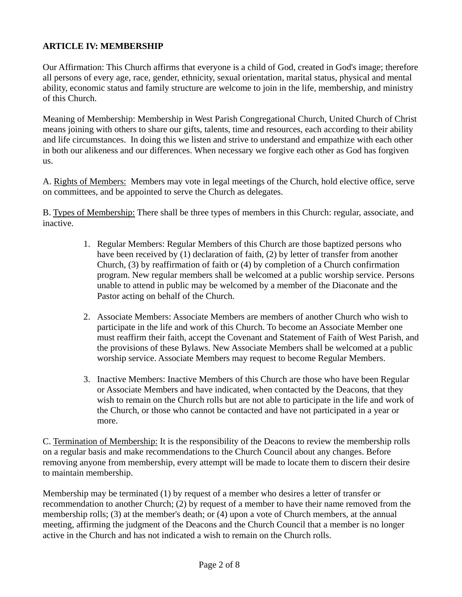## **ARTICLE IV: MEMBERSHIP**

Our Affirmation: This Church affirms that everyone is a child of God, created in God's image; therefore all persons of every age, race, gender, ethnicity, sexual orientation, marital status, physical and mental ability, economic status and family structure are welcome to join in the life, membership, and ministry of this Church.

Meaning of Membership: Membership in West Parish Congregational Church, United Church of Christ means joining with others to share our gifts, talents, time and resources, each according to their ability and life circumstances. In doing this we listen and strive to understand and empathize with each other in both our alikeness and our differences. When necessary we forgive each other as God has forgiven us.

A. Rights of Members: Members may vote in legal meetings of the Church, hold elective office, serve on committees, and be appointed to serve the Church as delegates.

B. Types of Membership: There shall be three types of members in this Church: regular, associate, and inactive.

- 1. Regular Members: Regular Members of this Church are those baptized persons who have been received by (1) declaration of faith, (2) by letter of transfer from another Church, (3) by reaffirmation of faith or (4) by completion of a Church confirmation program. New regular members shall be welcomed at a public worship service. Persons unable to attend in public may be welcomed by a member of the Diaconate and the Pastor acting on behalf of the Church.
- 2. Associate Members: Associate Members are members of another Church who wish to participate in the life and work of this Church. To become an Associate Member one must reaffirm their faith, accept the Covenant and Statement of Faith of West Parish, and the provisions of these Bylaws. New Associate Members shall be welcomed at a public worship service. Associate Members may request to become Regular Members.
- 3. Inactive Members: Inactive Members of this Church are those who have been Regular or Associate Members and have indicated, when contacted by the Deacons, that they wish to remain on the Church rolls but are not able to participate in the life and work of the Church, or those who cannot be contacted and have not participated in a year or more.

C. Termination of Membership: It is the responsibility of the Deacons to review the membership rolls on a regular basis and make recommendations to the Church Council about any changes. Before removing anyone from membership, every attempt will be made to locate them to discern their desire to maintain membership.

Membership may be terminated (1) by request of a member who desires a letter of transfer or recommendation to another Church; (2) by request of a member to have their name removed from the membership rolls; (3) at the member's death; or (4) upon a vote of Church members, at the annual meeting, affirming the judgment of the Deacons and the Church Council that a member is no longer active in the Church and has not indicated a wish to remain on the Church rolls.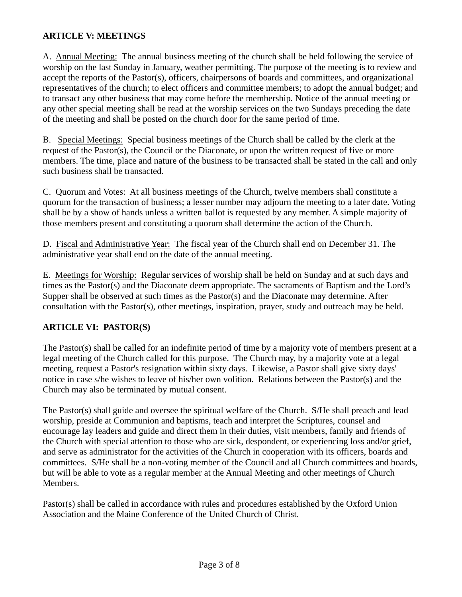## **ARTICLE V: MEETINGS**

A. Annual Meeting: The annual business meeting of the church shall be held following the service of worship on the last Sunday in January, weather permitting. The purpose of the meeting is to review and accept the reports of the Pastor(s), officers, chairpersons of boards and committees, and organizational representatives of the church; to elect officers and committee members; to adopt the annual budget; and to transact any other business that may come before the membership. Notice of the annual meeting or any other special meeting shall be read at the worship services on the two Sundays preceding the date of the meeting and shall be posted on the church door for the same period of time.

B. Special Meetings: Special business meetings of the Church shall be called by the clerk at the request of the Pastor(s), the Council or the Diaconate, or upon the written request of five or more members. The time, place and nature of the business to be transacted shall be stated in the call and only such business shall be transacted.

C. Quorum and Votes: At all business meetings of the Church, twelve members shall constitute a quorum for the transaction of business; a lesser number may adjourn the meeting to a later date. Voting shall be by a show of hands unless a written ballot is requested by any member. A simple majority of those members present and constituting a quorum shall determine the action of the Church.

D. Fiscal and Administrative Year: The fiscal year of the Church shall end on December 31. The administrative year shall end on the date of the annual meeting.

E. Meetings for Worship: Regular services of worship shall be held on Sunday and at such days and times as the Pastor(s) and the Diaconate deem appropriate. The sacraments of Baptism and the Lord's Supper shall be observed at such times as the Pastor(s) and the Diaconate may determine. After consultation with the Pastor(s), other meetings, inspiration, prayer, study and outreach may be held.

### **ARTICLE VI: PASTOR(S)**

The Pastor(s) shall be called for an indefinite period of time by a majority vote of members present at a legal meeting of the Church called for this purpose. The Church may, by a majority vote at a legal meeting, request a Pastor's resignation within sixty days. Likewise, a Pastor shall give sixty days' notice in case s/he wishes to leave of his/her own volition. Relations between the Pastor(s) and the Church may also be terminated by mutual consent.

The Pastor(s) shall guide and oversee the spiritual welfare of the Church. S/He shall preach and lead worship, preside at Communion and baptisms, teach and interpret the Scriptures, counsel and encourage lay leaders and guide and direct them in their duties, visit members, family and friends of the Church with special attention to those who are sick, despondent, or experiencing loss and/or grief, and serve as administrator for the activities of the Church in cooperation with its officers, boards and committees. S/He shall be a non-voting member of the Council and all Church committees and boards, but will be able to vote as a regular member at the Annual Meeting and other meetings of Church Members.

Pastor(s) shall be called in accordance with rules and procedures established by the Oxford Union Association and the Maine Conference of the United Church of Christ.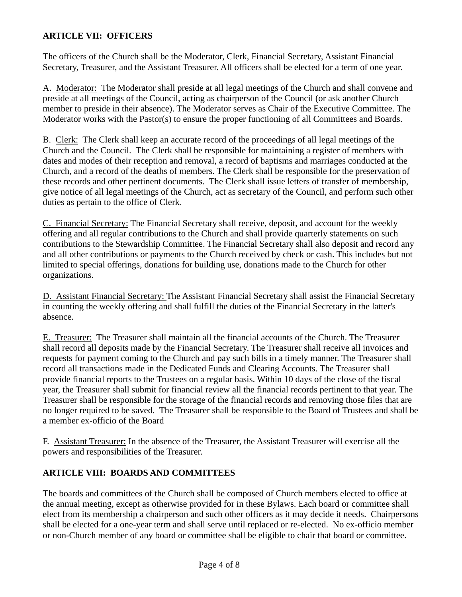## **ARTICLE VII: OFFICERS**

The officers of the Church shall be the Moderator, Clerk, Financial Secretary, Assistant Financial Secretary, Treasurer, and the Assistant Treasurer. All officers shall be elected for a term of one year.

A. Moderator: The Moderator shall preside at all legal meetings of the Church and shall convene and preside at all meetings of the Council, acting as chairperson of the Council (or ask another Church member to preside in their absence). The Moderator serves as Chair of the Executive Committee. The Moderator works with the Pastor(s) to ensure the proper functioning of all Committees and Boards.

B. Clerk: The Clerk shall keep an accurate record of the proceedings of all legal meetings of the Church and the Council. The Clerk shall be responsible for maintaining a register of members with dates and modes of their reception and removal, a record of baptisms and marriages conducted at the Church, and a record of the deaths of members. The Clerk shall be responsible for the preservation of these records and other pertinent documents. The Clerk shall issue letters of transfer of membership, give notice of all legal meetings of the Church, act as secretary of the Council, and perform such other duties as pertain to the office of Clerk.

C. Financial Secretary: The Financial Secretary shall receive, deposit, and account for the weekly offering and all regular contributions to the Church and shall provide quarterly statements on such contributions to the Stewardship Committee. The Financial Secretary shall also deposit and record any and all other contributions or payments to the Church received by check or cash. This includes but not limited to special offerings, donations for building use, donations made to the Church for other organizations.

D. Assistant Financial Secretary: The Assistant Financial Secretary shall assist the Financial Secretary in counting the weekly offering and shall fulfill the duties of the Financial Secretary in the latter's absence.

E. Treasurer: The Treasurer shall maintain all the financial accounts of the Church. The Treasurer shall record all deposits made by the Financial Secretary. The Treasurer shall receive all invoices and requests for payment coming to the Church and pay such bills in a timely manner. The Treasurer shall record all transactions made in the Dedicated Funds and Clearing Accounts. The Treasurer shall provide financial reports to the Trustees on a regular basis. Within 10 days of the close of the fiscal year, the Treasurer shall submit for financial review all the financial records pertinent to that year. The Treasurer shall be responsible for the storage of the financial records and removing those files that are no longer required to be saved. The Treasurer shall be responsible to the Board of Trustees and shall be a member ex-officio of the Board

F. Assistant Treasurer: In the absence of the Treasurer, the Assistant Treasurer will exercise all the powers and responsibilities of the Treasurer.

### **ARTICLE VIII: BOARDS AND COMMITTEES**

The boards and committees of the Church shall be composed of Church members elected to office at the annual meeting, except as otherwise provided for in these Bylaws. Each board or committee shall elect from its membership a chairperson and such other officers as it may decide it needs. Chairpersons shall be elected for a one-year term and shall serve until replaced or re-elected. No ex-officio member or non-Church member of any board or committee shall be eligible to chair that board or committee.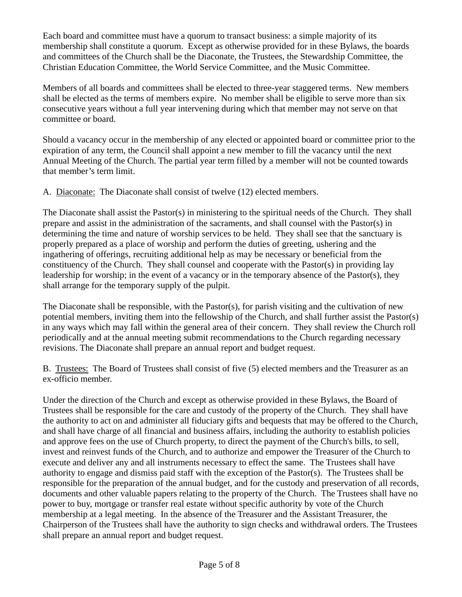Each board and committee must have a quorum to transact business: a simple majority of its membership shall constitute a quorum. Except as otherwise provided for in these Bylaws, the boards and committees of the Church shall be the Diaconate, the Trustees, the Stewardship Committee, the Christian Education Committee, the World Service Committee, and the Music Committee.

Members of all boards and committees shall be elected to three-year staggered terms. New members shall be elected as the terms of members expire. No member shall be eligible to serve more than six consecutive years without a full year intervening during which that member may not serve on that committee or board.

Should a vacancy occur in the membership of any elected or appointed board or committee prior to the expiration of any term, the Council shall appoint a new member to fill the vacancy until the next Annual Meeting of the Church. The partial year term filled by a member will not be counted towards that member's term limit.

A. Diaconate: The Diaconate shall consist of twelve (12) elected members.

The Diaconate shall assist the Pastor(s) in ministering to the spiritual needs of the Church. They shall prepare and assist in the administration of the sacraments, and shall counsel with the Pastor(s) in determining the time and nature of worship services to be held. They shall see that the sanctuary is properly prepared as a place of worship and perform the duties of greeting, ushering and the ingathering of offerings, recruiting additional help as may be necessary or beneficial from the constituency of the Church. They shall counsel and cooperate with the Pastor(s) in providing lay leadership for worship; in the event of a vacancy or in the temporary absence of the Pastor(s), they shall arrange for the temporary supply of the pulpit.

The Diaconate shall be responsible, with the Pastor(s), for parish visiting and the cultivation of new potential members, inviting them into the fellowship of the Church, and shall further assist the Pastor(s) in any ways which may fall within the general area of their concern. They shall review the Church roll periodically and at the annual meeting submit recommendations to the Church regarding necessary revisions. The Diaconate shall prepare an annual report and budget request.

B. Trustees: The Board of Trustees shall consist of five (5) elected members and the Treasurer as an ex-officio member.

Under the direction of the Church and except as otherwise provided in these Bylaws, the Board of Trustees shall be responsible for the care and custody of the property of the Church. They shall have the authority to act on and administer all fiduciary gifts and bequests that may be offered to the Church, and shall have charge of all financial and business affairs, including the authority to establish policies and approve fees on the use of Church property, to direct the payment of the Church's bills, to sell, invest and reinvest funds of the Church, and to authorize and empower the Treasurer of the Church to execute and deliver any and all instruments necessary to effect the same. The Trustees shall have authority to engage and dismiss paid staff with the exception of the Pastor(s). The Trustees shall be responsible for the preparation of the annual budget, and for the custody and preservation of all records, documents and other valuable papers relating to the property of the Church. The Trustees shall have no power to buy, mortgage or transfer real estate without specific authority by vote of the Church membership at a legal meeting. In the absence of the Treasurer and the Assistant Treasurer, the Chairperson of the Trustees shall have the authority to sign checks and withdrawal orders. The Trustees shall prepare an annual report and budget request.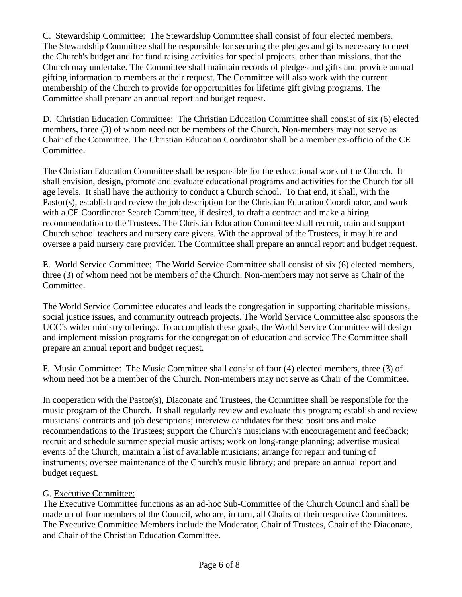C. Stewardship Committee: The Stewardship Committee shall consist of four elected members. The Stewardship Committee shall be responsible for securing the pledges and gifts necessary to meet the Church's budget and for fund raising activities for special projects, other than missions, that the Church may undertake. The Committee shall maintain records of pledges and gifts and provide annual gifting information to members at their request. The Committee will also work with the current membership of the Church to provide for opportunities for lifetime gift giving programs. The Committee shall prepare an annual report and budget request.

D. Christian Education Committee: The Christian Education Committee shall consist of six (6) elected members, three (3) of whom need not be members of the Church. Non-members may not serve as Chair of the Committee. The Christian Education Coordinator shall be a member ex-officio of the CE Committee.

The Christian Education Committee shall be responsible for the educational work of the Church. It shall envision, design, promote and evaluate educational programs and activities for the Church for all age levels. It shall have the authority to conduct a Church school. To that end, it shall, with the Pastor(s), establish and review the job description for the Christian Education Coordinator, and work with a CE Coordinator Search Committee, if desired, to draft a contract and make a hiring recommendation to the Trustees. The Christian Education Committee shall recruit, train and support Church school teachers and nursery care givers. With the approval of the Trustees, it may hire and oversee a paid nursery care provider. The Committee shall prepare an annual report and budget request.

E. World Service Committee: The World Service Committee shall consist of six (6) elected members, three (3) of whom need not be members of the Church. Non-members may not serve as Chair of the Committee.

The World Service Committee educates and leads the congregation in supporting charitable missions, social justice issues, and community outreach projects. The World Service Committee also sponsors the UCC's wider ministry offerings. To accomplish these goals, the World Service Committee will design and implement mission programs for the congregation of education and service The Committee shall prepare an annual report and budget request.

F. Music Committee: The Music Committee shall consist of four (4) elected members, three (3) of whom need not be a member of the Church. Non-members may not serve as Chair of the Committee.

In cooperation with the Pastor(s), Diaconate and Trustees, the Committee shall be responsible for the music program of the Church. It shall regularly review and evaluate this program; establish and review musicians' contracts and job descriptions; interview candidates for these positions and make recommendations to the Trustees; support the Church's musicians with encouragement and feedback; recruit and schedule summer special music artists; work on long-range planning; advertise musical events of the Church; maintain a list of available musicians; arrange for repair and tuning of instruments; oversee maintenance of the Church's music library; and prepare an annual report and budget request.

### G. Executive Committee:

The Executive Committee functions as an ad-hoc Sub-Committee of the Church Council and shall be made up of four members of the Council, who are, in turn, all Chairs of their respective Committees. The Executive Committee Members include the Moderator, Chair of Trustees, Chair of the Diaconate, and Chair of the Christian Education Committee.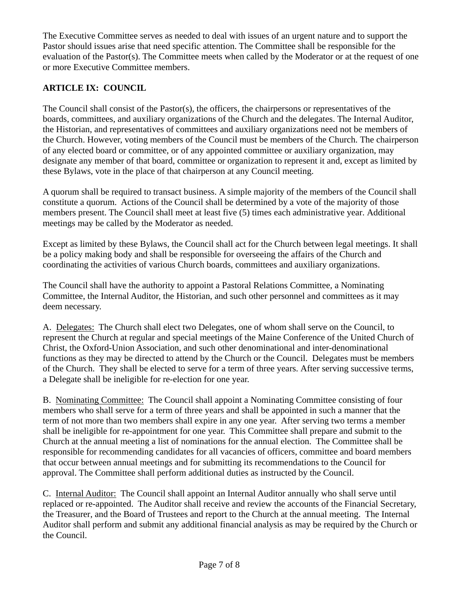The Executive Committee serves as needed to deal with issues of an urgent nature and to support the Pastor should issues arise that need specific attention. The Committee shall be responsible for the evaluation of the Pastor(s). The Committee meets when called by the Moderator or at the request of one or more Executive Committee members.

# **ARTICLE IX: COUNCIL**

The Council shall consist of the Pastor(s), the officers, the chairpersons or representatives of the boards, committees, and auxiliary organizations of the Church and the delegates. The Internal Auditor, the Historian, and representatives of committees and auxiliary organizations need not be members of the Church. However, voting members of the Council must be members of the Church. The chairperson of any elected board or committee, or of any appointed committee or auxiliary organization, may designate any member of that board, committee or organization to represent it and, except as limited by these Bylaws, vote in the place of that chairperson at any Council meeting.

A quorum shall be required to transact business. A simple majority of the members of the Council shall constitute a quorum. Actions of the Council shall be determined by a vote of the majority of those members present. The Council shall meet at least five (5) times each administrative year. Additional meetings may be called by the Moderator as needed.

Except as limited by these Bylaws, the Council shall act for the Church between legal meetings. It shall be a policy making body and shall be responsible for overseeing the affairs of the Church and coordinating the activities of various Church boards, committees and auxiliary organizations.

The Council shall have the authority to appoint a Pastoral Relations Committee, a Nominating Committee, the Internal Auditor, the Historian, and such other personnel and committees as it may deem necessary.

A. Delegates: The Church shall elect two Delegates, one of whom shall serve on the Council, to represent the Church at regular and special meetings of the Maine Conference of the United Church of Christ, the Oxford-Union Association, and such other denominational and inter-denominational functions as they may be directed to attend by the Church or the Council. Delegates must be members of the Church. They shall be elected to serve for a term of three years. After serving successive terms, a Delegate shall be ineligible for re-election for one year.

B. Nominating Committee: The Council shall appoint a Nominating Committee consisting of four members who shall serve for a term of three years and shall be appointed in such a manner that the term of not more than two members shall expire in any one year. After serving two terms a member shall be ineligible for re-appointment for one year. This Committee shall prepare and submit to the Church at the annual meeting a list of nominations for the annual election. The Committee shall be responsible for recommending candidates for all vacancies of officers, committee and board members that occur between annual meetings and for submitting its recommendations to the Council for approval. The Committee shall perform additional duties as instructed by the Council.

C. Internal Auditor: The Council shall appoint an Internal Auditor annually who shall serve until replaced or re-appointed. The Auditor shall receive and review the accounts of the Financial Secretary, the Treasurer, and the Board of Trustees and report to the Church at the annual meeting. The Internal Auditor shall perform and submit any additional financial analysis as may be required by the Church or the Council.